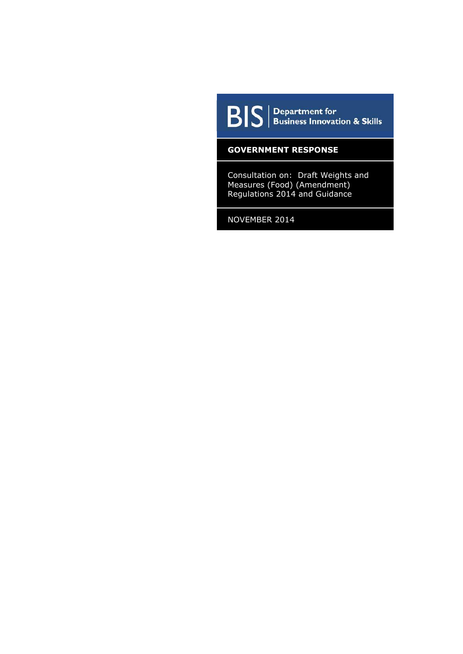

 $\boxed{\mathbf{B}|\mathbf{S}}$   $\boxed{\mathbf{S}}$  Business Innovation & Skills

## **GOVERNMENT RESPONSE**

Consultation on: Draft Weights and Measures (Food) (Amendment) Regulations 2014 and Guidance

NOVEMBER 2014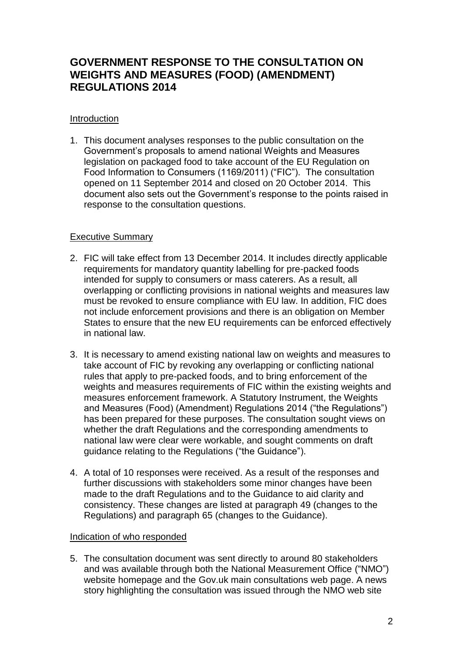# **GOVERNMENT RESPONSE TO THE CONSULTATION ON WEIGHTS AND MEASURES (FOOD) (AMENDMENT) REGULATIONS 2014**

## **Introduction**

1. This document analyses responses to the public consultation on the Government's proposals to amend national Weights and Measures legislation on packaged food to take account of the EU Regulation on Food Information to Consumers (1169/2011) ("FIC"). The consultation opened on 11 September 2014 and closed on 20 October 2014. This document also sets out the Government's response to the points raised in response to the consultation questions.

## Executive Summary

- 2. FIC will take effect from 13 December 2014. It includes directly applicable requirements for mandatory quantity labelling for pre-packed foods intended for supply to consumers or mass caterers. As a result, all overlapping or conflicting provisions in national weights and measures law must be revoked to ensure compliance with EU law. In addition, FIC does not include enforcement provisions and there is an obligation on Member States to ensure that the new EU requirements can be enforced effectively in national law.
- 3. It is necessary to amend existing national law on weights and measures to take account of FIC by revoking any overlapping or conflicting national rules that apply to pre-packed foods, and to bring enforcement of the weights and measures requirements of FIC within the existing weights and measures enforcement framework. A Statutory Instrument, the Weights and Measures (Food) (Amendment) Regulations 2014 ("the Regulations") has been prepared for these purposes. The consultation sought views on whether the draft Regulations and the corresponding amendments to national law were clear were workable, and sought comments on draft guidance relating to the Regulations ("the Guidance").
- 4. A total of 10 responses were received. As a result of the responses and further discussions with stakeholders some minor changes have been made to the draft Regulations and to the Guidance to aid clarity and consistency. These changes are listed at paragraph 49 (changes to the Regulations) and paragraph 65 (changes to the Guidance).

## Indication of who responded

5. The consultation document was sent directly to around 80 stakeholders and was available through both the National Measurement Office ("NMO") website homepage and the Gov.uk main consultations web page. A news story highlighting the consultation was issued through the NMO web site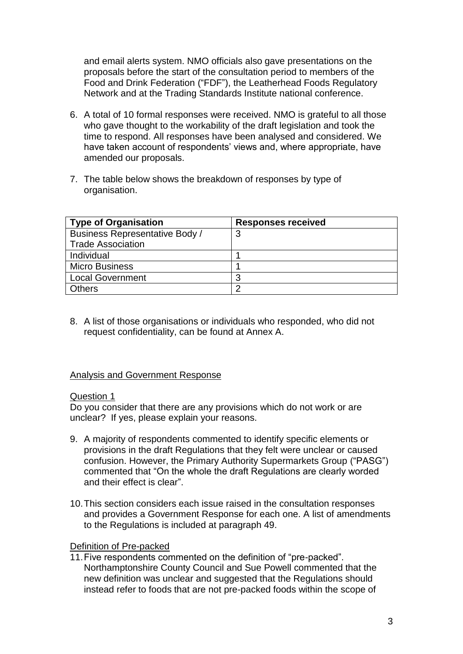and email alerts system. NMO officials also gave presentations on the proposals before the start of the consultation period to members of the Food and Drink Federation ("FDF"), the Leatherhead Foods Regulatory Network and at the Trading Standards Institute national conference.

- 6. A total of 10 formal responses were received. NMO is grateful to all those who gave thought to the workability of the draft legislation and took the time to respond. All responses have been analysed and considered. We have taken account of respondents' views and, where appropriate, have amended our proposals.
- 7. The table below shows the breakdown of responses by type of organisation.

| <b>Type of Organisation</b>           | <b>Responses received</b> |
|---------------------------------------|---------------------------|
| <b>Business Representative Body /</b> | 3                         |
| <b>Trade Association</b>              |                           |
| Individual                            |                           |
| <b>Micro Business</b>                 |                           |
| <b>Local Government</b>               | 3                         |
| <b>Others</b>                         | ◠                         |

8. A list of those organisations or individuals who responded, who did not request confidentiality, can be found at Annex A.

## Analysis and Government Response

### Question 1

Do you consider that there are any provisions which do not work or are unclear? If yes, please explain your reasons.

- 9. A majority of respondents commented to identify specific elements or provisions in the draft Regulations that they felt were unclear or caused confusion. However, the Primary Authority Supermarkets Group ("PASG") commented that "On the whole the draft Regulations are clearly worded and their effect is clear".
- 10.This section considers each issue raised in the consultation responses and provides a Government Response for each one. A list of amendments to the Regulations is included at paragraph 49.

### Definition of Pre-packed

11.Five respondents commented on the definition of "pre-packed". Northamptonshire County Council and Sue Powell commented that the new definition was unclear and suggested that the Regulations should instead refer to foods that are not pre-packed foods within the scope of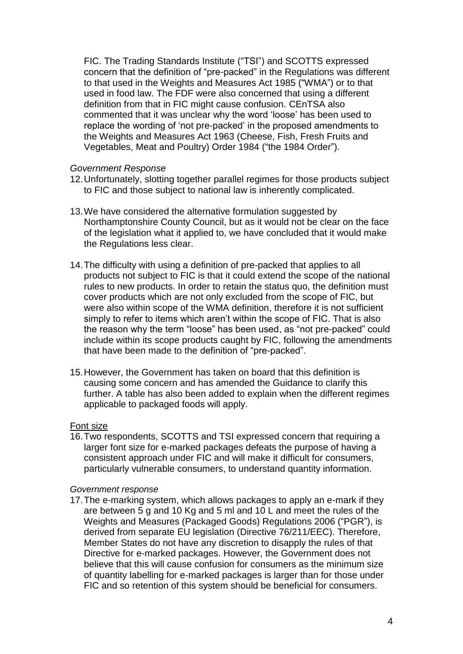FIC. The Trading Standards Institute ("TSI") and SCOTTS expressed concern that the definition of "pre-packed" in the Regulations was different to that used in the Weights and Measures Act 1985 ("WMA") or to that used in food law. The FDF were also concerned that using a different definition from that in FIC might cause confusion. CEnTSA also commented that it was unclear why the word 'loose' has been used to replace the wording of 'not pre-packed' in the proposed amendments to the Weights and Measures Act 1963 (Cheese, Fish, Fresh Fruits and Vegetables, Meat and Poultry) Order 1984 ("the 1984 Order").

### *Government Response*

- 12.Unfortunately, slotting together parallel regimes for those products subject to FIC and those subject to national law is inherently complicated.
- 13.We have considered the alternative formulation suggested by Northamptonshire County Council, but as it would not be clear on the face of the legislation what it applied to, we have concluded that it would make the Regulations less clear.
- 14.The difficulty with using a definition of pre-packed that applies to all products not subject to FIC is that it could extend the scope of the national rules to new products. In order to retain the status quo, the definition must cover products which are not only excluded from the scope of FIC, but were also within scope of the WMA definition, therefore it is not sufficient simply to refer to items which aren't within the scope of FIC. That is also the reason why the term "loose" has been used, as "not pre-packed" could include within its scope products caught by FIC, following the amendments that have been made to the definition of "pre-packed".
- 15.However, the Government has taken on board that this definition is causing some concern and has amended the Guidance to clarify this further. A table has also been added to explain when the different regimes applicable to packaged foods will apply.

### Font size

16.Two respondents, SCOTTS and TSI expressed concern that requiring a larger font size for e-marked packages defeats the purpose of having a consistent approach under FIC and will make it difficult for consumers, particularly vulnerable consumers, to understand quantity information.

### *Government response*

17.The e-marking system, which allows packages to apply an e-mark if they are between 5 g and 10 Kg and 5 ml and 10 L and meet the rules of the Weights and Measures (Packaged Goods) Regulations 2006 ("PGR"), is derived from separate EU legislation (Directive 76/211/EEC). Therefore, Member States do not have any discretion to disapply the rules of that Directive for e-marked packages. However, the Government does not believe that this will cause confusion for consumers as the minimum size of quantity labelling for e-marked packages is larger than for those under FIC and so retention of this system should be beneficial for consumers.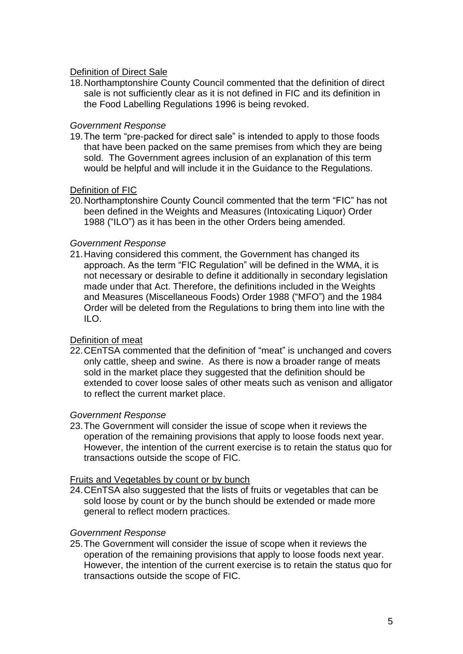## Definition of Direct Sale

18.Northamptonshire County Council commented that the definition of direct sale is not sufficiently clear as it is not defined in FIC and its definition in the Food Labelling Regulations 1996 is being revoked.

### *Government Response*

19.The term "pre-packed for direct sale" is intended to apply to those foods that have been packed on the same premises from which they are being sold. The Government agrees inclusion of an explanation of this term would be helpful and will include it in the Guidance to the Regulations.

## Definition of FIC

20.Northamptonshire County Council commented that the term "FIC" has not been defined in the Weights and Measures (Intoxicating Liquor) Order 1988 ("ILO") as it has been in the other Orders being amended.

### *Government Response*

21.Having considered this comment, the Government has changed its approach. As the term "FIC Regulation" will be defined in the WMA, it is not necessary or desirable to define it additionally in secondary legislation made under that Act. Therefore, the definitions included in the Weights and Measures (Miscellaneous Foods) Order 1988 ("MFO") and the 1984 Order will be deleted from the Regulations to bring them into line with the ILO.

## Definition of meat

22.CEnTSA commented that the definition of "meat" is unchanged and covers only cattle, sheep and swine. As there is now a broader range of meats sold in the market place they suggested that the definition should be extended to cover loose sales of other meats such as venison and alligator to reflect the current market place.

### *Government Response*

23.The Government will consider the issue of scope when it reviews the operation of the remaining provisions that apply to loose foods next year. However, the intention of the current exercise is to retain the status quo for transactions outside the scope of FIC.

### Fruits and Vegetables by count or by bunch

24.CEnTSA also suggested that the lists of fruits or vegetables that can be sold loose by count or by the bunch should be extended or made more general to reflect modern practices.

### *Government Response*

25.The Government will consider the issue of scope when it reviews the operation of the remaining provisions that apply to loose foods next year. However, the intention of the current exercise is to retain the status quo for transactions outside the scope of FIC.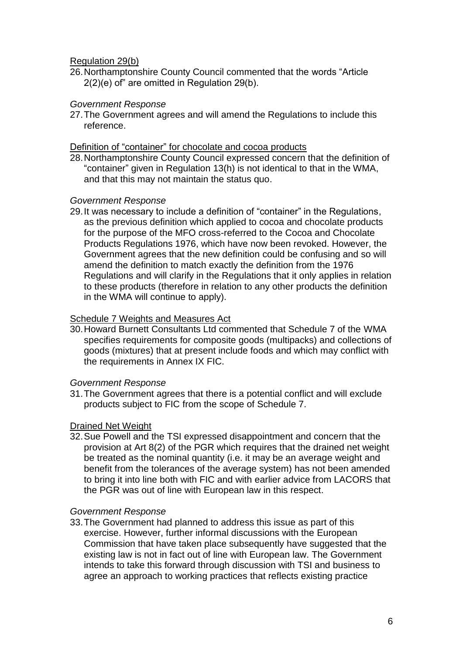### Regulation 29(b)

26.Northamptonshire County Council commented that the words "Article 2(2)(e) of" are omitted in Regulation 29(b).

### *Government Response*

27.The Government agrees and will amend the Regulations to include this reference.

### Definition of "container" for chocolate and cocoa products

28.Northamptonshire County Council expressed concern that the definition of "container" given in Regulation 13(h) is not identical to that in the WMA, and that this may not maintain the status quo.

### *Government Response*

29.It was necessary to include a definition of "container" in the Regulations, as the previous definition which applied to cocoa and chocolate products for the purpose of the MFO cross-referred to the Cocoa and Chocolate Products Regulations 1976, which have now been revoked. However, the Government agrees that the new definition could be confusing and so will amend the definition to match exactly the definition from the 1976 Regulations and will clarify in the Regulations that it only applies in relation to these products (therefore in relation to any other products the definition in the WMA will continue to apply).

## **Schedule 7 Weights and Measures Act**

30.Howard Burnett Consultants Ltd commented that Schedule 7 of the WMA specifies requirements for composite goods (multipacks) and collections of goods (mixtures) that at present include foods and which may conflict with the requirements in Annex IX FIC.

## *Government Response*

31.The Government agrees that there is a potential conflict and will exclude products subject to FIC from the scope of Schedule 7.

## Drained Net Weight

32.Sue Powell and the TSI expressed disappointment and concern that the provision at Art 8(2) of the PGR which requires that the drained net weight be treated as the nominal quantity (i.e. it may be an average weight and benefit from the tolerances of the average system) has not been amended to bring it into line both with FIC and with earlier advice from LACORS that the PGR was out of line with European law in this respect.

## *Government Response*

33.The Government had planned to address this issue as part of this exercise. However, further informal discussions with the European Commission that have taken place subsequently have suggested that the existing law is not in fact out of line with European law. The Government intends to take this forward through discussion with TSI and business to agree an approach to working practices that reflects existing practice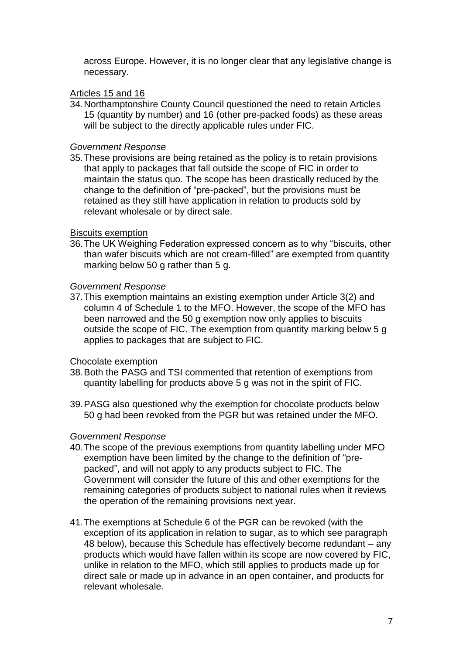across Europe. However, it is no longer clear that any legislative change is necessary.

## Articles 15 and 16

34.Northamptonshire County Council questioned the need to retain Articles 15 (quantity by number) and 16 (other pre-packed foods) as these areas will be subject to the directly applicable rules under FIC.

## *Government Response*

35.These provisions are being retained as the policy is to retain provisions that apply to packages that fall outside the scope of FIC in order to maintain the status quo. The scope has been drastically reduced by the change to the definition of "pre-packed", but the provisions must be retained as they still have application in relation to products sold by relevant wholesale or by direct sale.

## Biscuits exemption

36.The UK Weighing Federation expressed concern as to why "biscuits, other than wafer biscuits which are not cream-filled" are exempted from quantity marking below 50 g rather than 5 g.

## *Government Response*

37.This exemption maintains an existing exemption under Article 3(2) and column 4 of Schedule 1 to the MFO. However, the scope of the MFO has been narrowed and the 50 g exemption now only applies to biscuits outside the scope of FIC. The exemption from quantity marking below 5 g applies to packages that are subject to FIC.

## Chocolate exemption

- 38.Both the PASG and TSI commented that retention of exemptions from quantity labelling for products above 5 g was not in the spirit of FIC.
- 39.PASG also questioned why the exemption for chocolate products below 50 g had been revoked from the PGR but was retained under the MFO.

## *Government Response*

- 40.The scope of the previous exemptions from quantity labelling under MFO exemption have been limited by the change to the definition of "prepacked", and will not apply to any products subject to FIC. The Government will consider the future of this and other exemptions for the remaining categories of products subject to national rules when it reviews the operation of the remaining provisions next year.
- 41.The exemptions at Schedule 6 of the PGR can be revoked (with the exception of its application in relation to sugar, as to which see paragraph 48 below), because this Schedule has effectively become redundant – any products which would have fallen within its scope are now covered by FIC, unlike in relation to the MFO, which still applies to products made up for direct sale or made up in advance in an open container, and products for relevant wholesale.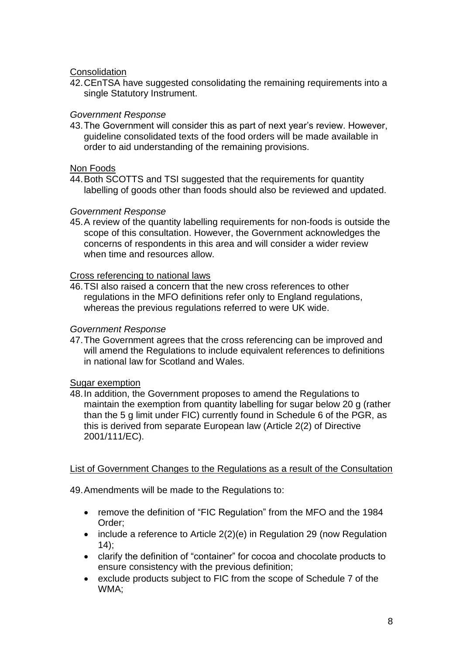## **Consolidation**

42.CEnTSA have suggested consolidating the remaining requirements into a single Statutory Instrument.

## *Government Response*

43.The Government will consider this as part of next year's review. However, guideline consolidated texts of the food orders will be made available in order to aid understanding of the remaining provisions.

### Non Foods

44.Both SCOTTS and TSI suggested that the requirements for quantity labelling of goods other than foods should also be reviewed and updated.

### *Government Response*

45.A review of the quantity labelling requirements for non-foods is outside the scope of this consultation. However, the Government acknowledges the concerns of respondents in this area and will consider a wider review when time and resources allow.

## Cross referencing to national laws

46.TSI also raised a concern that the new cross references to other regulations in the MFO definitions refer only to England regulations, whereas the previous regulations referred to were UK wide.

### *Government Response*

47.The Government agrees that the cross referencing can be improved and will amend the Regulations to include equivalent references to definitions in national law for Scotland and Wales.

## Sugar exemption

48.In addition, the Government proposes to amend the Regulations to maintain the exemption from quantity labelling for sugar below 20 g (rather than the 5 g limit under FIC) currently found in Schedule 6 of the PGR, as this is derived from separate European law (Article 2(2) of Directive 2001/111/EC).

## List of Government Changes to the Regulations as a result of the Consultation

49.Amendments will be made to the Regulations to:

- remove the definition of "FIC Regulation" from the MFO and the 1984 Order;
- include a reference to Article 2(2)(e) in Regulation 29 (now Regulation  $14$ :
- clarify the definition of "container" for cocoa and chocolate products to ensure consistency with the previous definition;
- exclude products subject to FIC from the scope of Schedule 7 of the WMA;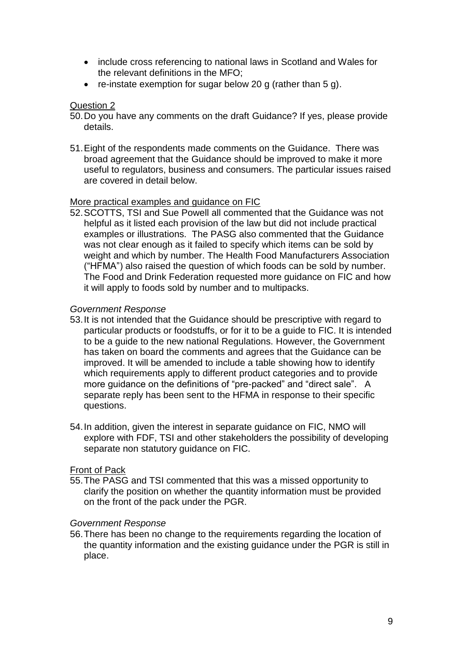- include cross referencing to national laws in Scotland and Wales for the relevant definitions in the MFO;
- re-instate exemption for sugar below 20 g (rather than 5 g).

## Question 2

- 50.Do you have any comments on the draft Guidance? If yes, please provide details.
- 51.Eight of the respondents made comments on the Guidance. There was broad agreement that the Guidance should be improved to make it more useful to regulators, business and consumers. The particular issues raised are covered in detail below.

## More practical examples and guidance on FIC

52.SCOTTS, TSI and Sue Powell all commented that the Guidance was not helpful as it listed each provision of the law but did not include practical examples or illustrations. The PASG also commented that the Guidance was not clear enough as it failed to specify which items can be sold by weight and which by number. The Health Food Manufacturers Association ("HFMA") also raised the question of which foods can be sold by number. The Food and Drink Federation requested more guidance on FIC and how it will apply to foods sold by number and to multipacks.

## *Government Response*

- 53.It is not intended that the Guidance should be prescriptive with regard to particular products or foodstuffs, or for it to be a guide to FIC. It is intended to be a guide to the new national Regulations. However, the Government has taken on board the comments and agrees that the Guidance can be improved. It will be amended to include a table showing how to identify which requirements apply to different product categories and to provide more guidance on the definitions of "pre-packed" and "direct sale". A separate reply has been sent to the HFMA in response to their specific questions.
- 54.In addition, given the interest in separate guidance on FIC, NMO will explore with FDF, TSI and other stakeholders the possibility of developing separate non statutory guidance on FIC.

## Front of Pack

55.The PASG and TSI commented that this was a missed opportunity to clarify the position on whether the quantity information must be provided on the front of the pack under the PGR.

### *Government Response*

56.There has been no change to the requirements regarding the location of the quantity information and the existing guidance under the PGR is still in place.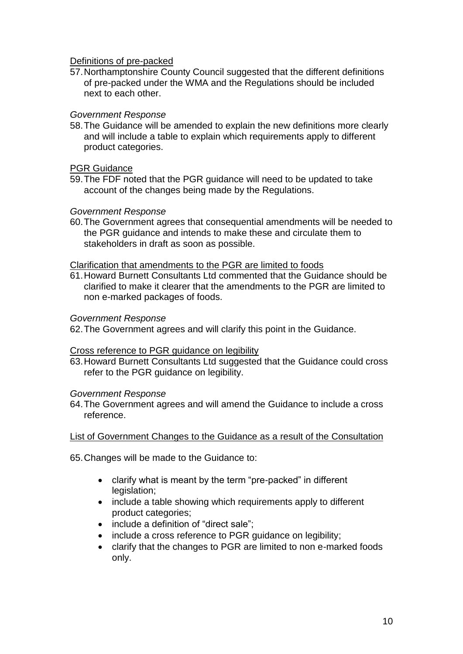Definitions of pre-packed

57.Northamptonshire County Council suggested that the different definitions of pre-packed under the WMA and the Regulations should be included next to each other.

## *Government Response*

58.The Guidance will be amended to explain the new definitions more clearly and will include a table to explain which requirements apply to different product categories.

### PGR Guidance

59.The FDF noted that the PGR guidance will need to be updated to take account of the changes being made by the Regulations.

### *Government Response*

60.The Government agrees that consequential amendments will be needed to the PGR guidance and intends to make these and circulate them to stakeholders in draft as soon as possible.

### Clarification that amendments to the PGR are limited to foods

61.Howard Burnett Consultants Ltd commented that the Guidance should be clarified to make it clearer that the amendments to the PGR are limited to non e-marked packages of foods.

### *Government Response*

62.The Government agrees and will clarify this point in the Guidance.

## Cross reference to PGR guidance on legibility

63.Howard Burnett Consultants Ltd suggested that the Guidance could cross refer to the PGR guidance on legibility.

### *Government Response*

64.The Government agrees and will amend the Guidance to include a cross reference.

## List of Government Changes to the Guidance as a result of the Consultation

65.Changes will be made to the Guidance to:

- clarify what is meant by the term "pre-packed" in different legislation;
- include a table showing which requirements apply to different product categories;
- include a definition of "direct sale";
- include a cross reference to PGR guidance on legibility;
- clarify that the changes to PGR are limited to non e-marked foods only.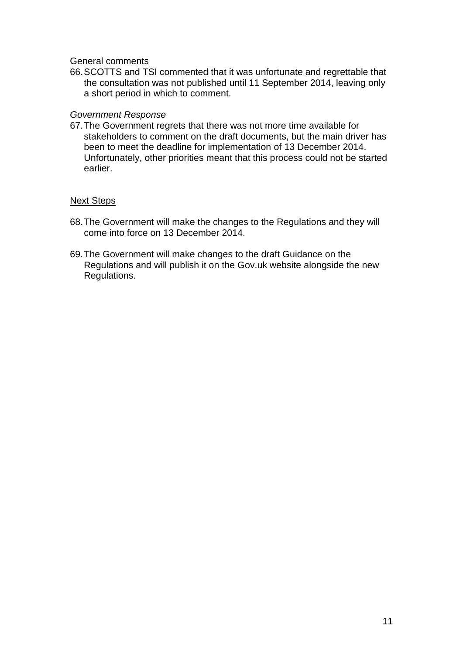General comments

66.SCOTTS and TSI commented that it was unfortunate and regrettable that the consultation was not published until 11 September 2014, leaving only a short period in which to comment.

### *Government Response*

67.The Government regrets that there was not more time available for stakeholders to comment on the draft documents, but the main driver has been to meet the deadline for implementation of 13 December 2014. Unfortunately, other priorities meant that this process could not be started earlier.

## Next Steps

- 68.The Government will make the changes to the Regulations and they will come into force on 13 December 2014.
- 69.The Government will make changes to the draft Guidance on the Regulations and will publish it on the Gov.uk website alongside the new Regulations.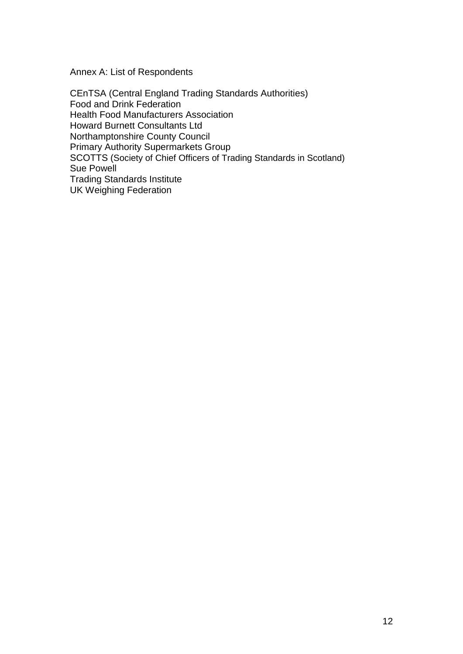Annex A: List of Respondents

CEnTSA (Central England Trading Standards Authorities) Food and Drink Federation Health Food Manufacturers Association Howard Burnett Consultants Ltd Northamptonshire County Council Primary Authority Supermarkets Group SCOTTS (Society of Chief Officers of Trading Standards in Scotland) Sue Powell Trading Standards Institute UK Weighing Federation